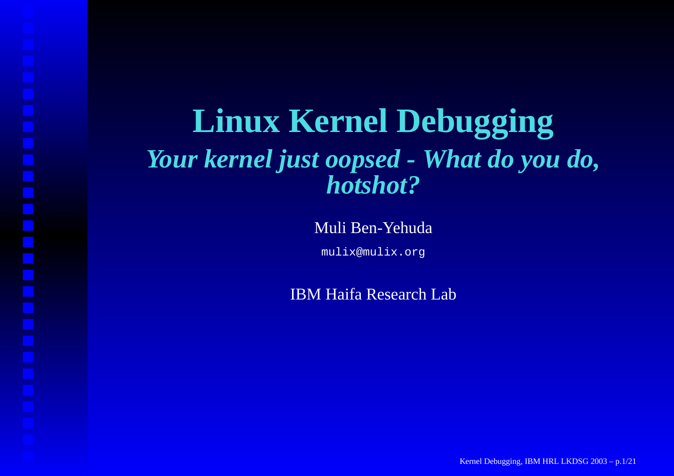#### **Linux Kernel Debugging** *Your kernel just oopsed - What do you do, hotshot?*

Muli Ben-Yehuda

mulix@mulix.org

IBM Haifa Research Lab

Kernel Debugging, IBM HRL LKDSG 2003 – p.1/21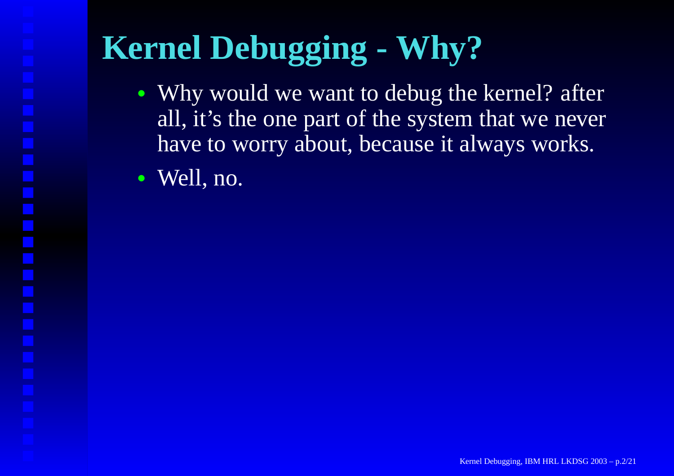# **Kernel Debugging - Why?**

- Why would we want to debug the kernel? after all, it's the one par<sup>t</sup> of the system that we never have to worry about, because it always works.
- Well, no.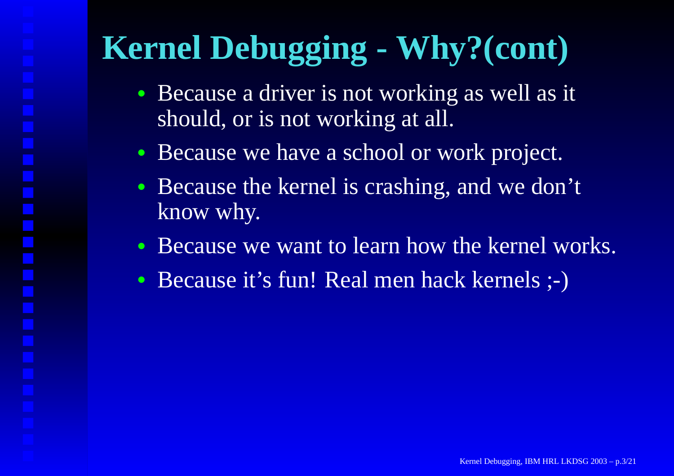# **Kernel Debugging - Why?(cont)**

- Because <sup>a</sup> driver is not working as well as it should, or is not working at all.
- Because we have <sup>a</sup> school or work project.
- Because the kernel is crashing, and we don't know why.
- Because we want to learn how the kernel works.
- $\bullet$ Because it's fun! Real men hack kernels ;-)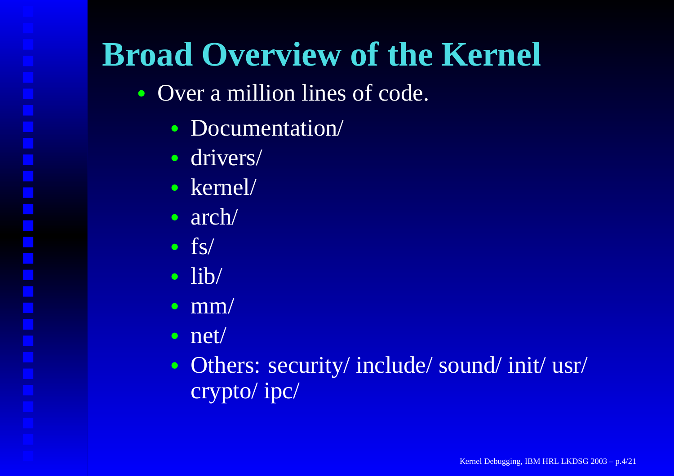#### **Broad Overview of the Kernel**

- Over a million lines of code.
	- Documentation/
	- drivers/
	- kernel/
	- arch/
	- fs/
	- lib/
	- $mm/$
	- net/
	- Others: security/ include/ sound/ init/ usr/ crypto/ ipc/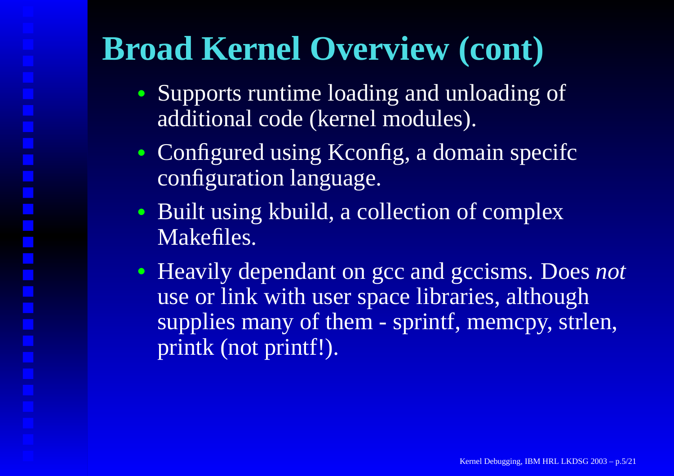# **Broad Kernel Overview (cont)**

- Supports runtime loading and unloading of additional code (kernel modules).
- Configured using Kconfig, a domain specifc configuration language.
- Built using kbuild, <sup>a</sup> collection of complex Makefiles.
- Heavily dependant on gcc and gccisms. Does *not* use or link with user space libraries, although supplies many of them - sprintf, memcpy, strlen, printk (not printf!).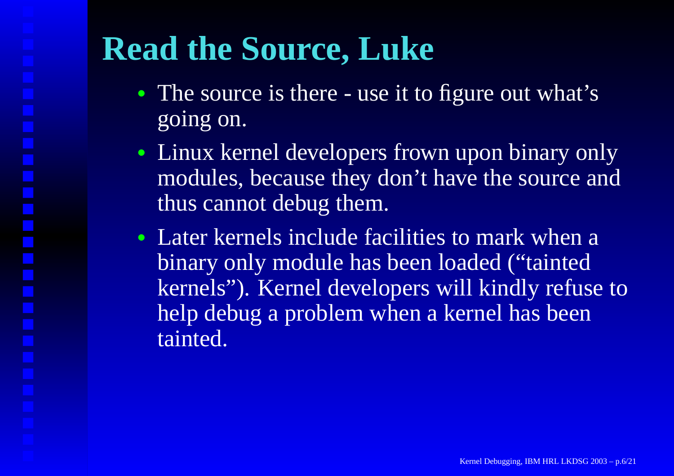# **Read the Source, Luke**

- The source is there use it to figure out what's going on.
- Linux kernel developers frown upon binary only modules, because they don't have the source and thus cannot debug them.
- Later kernels include facilities to mark when <sup>a</sup> binary only module has been loaded ("tainted kernels"). Kernel developers will kindly refuse to help debug <sup>a</sup> problem when <sup>a</sup> kernel has been tainted.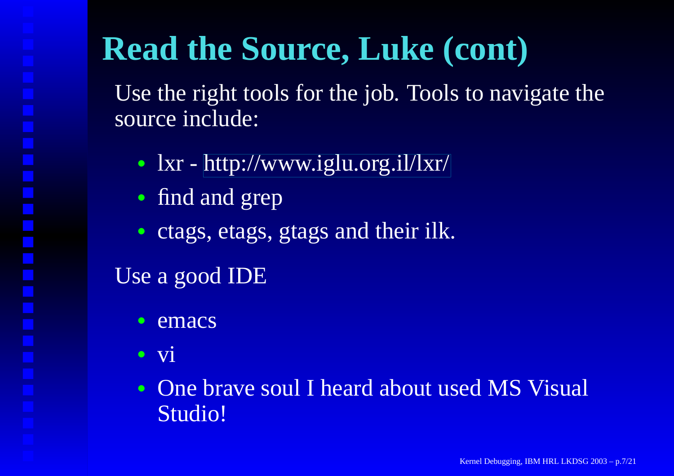### **Read the Source, Luke (cont)**

Use the right tools for the job. Tools to navigate the source include:

- lxr [http://www.iglu.org.il/lxr](http://www.iglu.org.il/lxr/)/
- find and grep
- ctags, etags, gtags and their ilk.

#### Use <sup>a</sup> good IDE

- •emacs
- vi
- One brave soul I heard about used MS Visual Studio!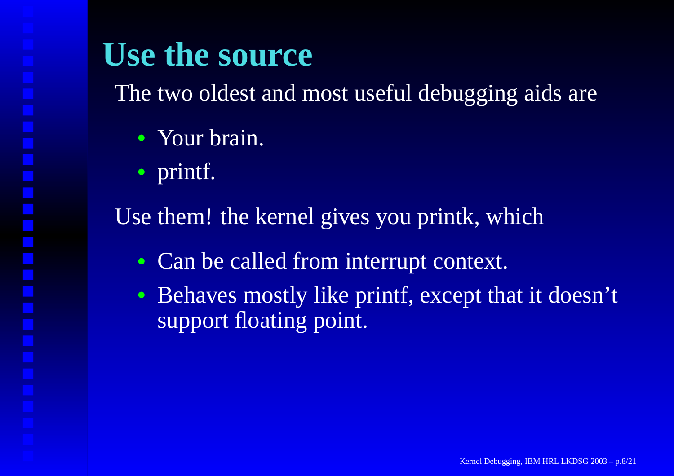#### **Use the source**

The two oldest and most useful debugging aids are

- Your brain.
- printf.

Use them! the kernel gives you printk, which

- $\bullet$ • Can be called from interrupt context.
- Behaves mostly like printf, excep<sup>t</sup> that it doesn't support floating point.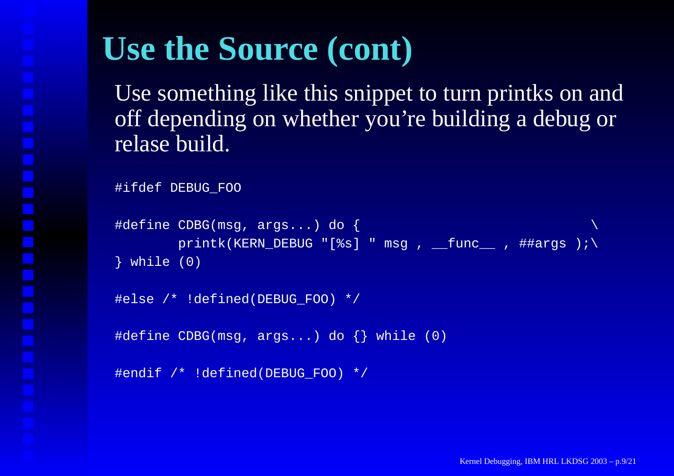#### **Use the Source (cont)**

Use something like this snippet to turn printks on and off depending on whether you're building <sup>a</sup> debug or relase build.

```
#ifdef DEBUG_FOO
```

```
#define CDBG(msg, args...) do {
             \overline{\text{printk}}(\text{KERN\_DEBUG} \parallel [\$s] \parallel \text{msg}, \overline{\text{func}}, \text{#Hargs});\
} while (0)
```

```
#else /* !defined(DEBUG_FOO) */
```

```
#define CDBG(msg, args...) do {} while (0)
```

```
#endif /* !defined(DEBUG_FOO) */
```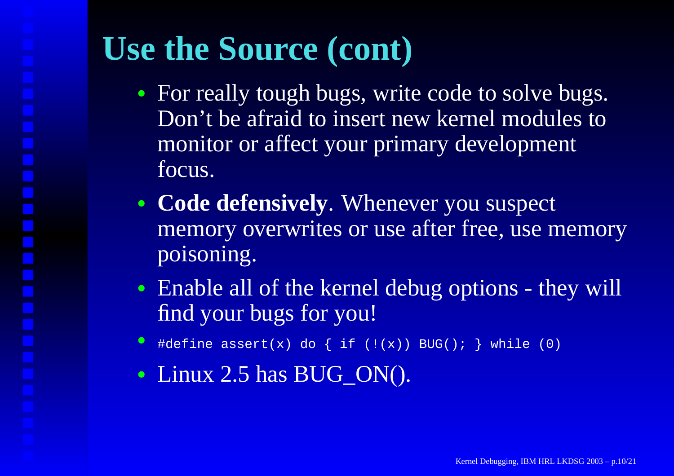#### **Use the Source (cont)**

- For really tough bugs, write code to solve bugs. Don't be afraid to insert new kernel modules to monitor or affect your primary development focus.
- **Code defensively**. Whenever you suspec<sup>t</sup> memory overwrites or use after free, use memory poisoning.
- Enable all of the kernel debug options they will find your bugs for you!
- •#define assert(x) do  $\{ if ((x)) BUG() : \} while (0)$
- Linux 2.5 has BUG\_ON().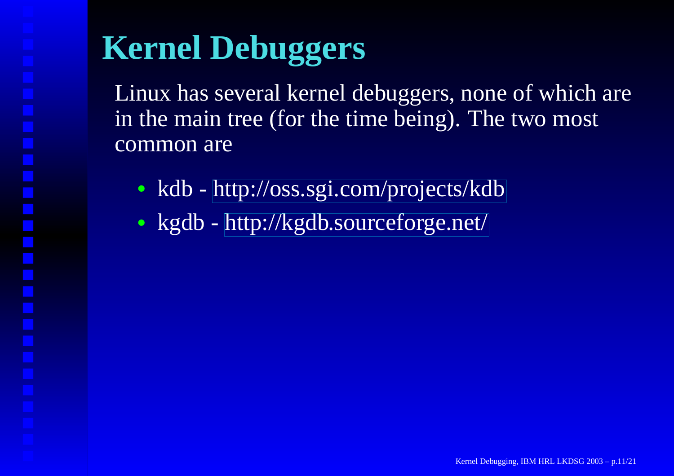# **Kernel Debuggers**

Linux has several kernel debuggers, none of which are in the main tree (for the time being). The two most common are

- kdb <http://oss.sgi.com/projects/kdb>
- kgdb [http://kgdb.sourceforge.net](http://kgdb.sourceforge.net/)/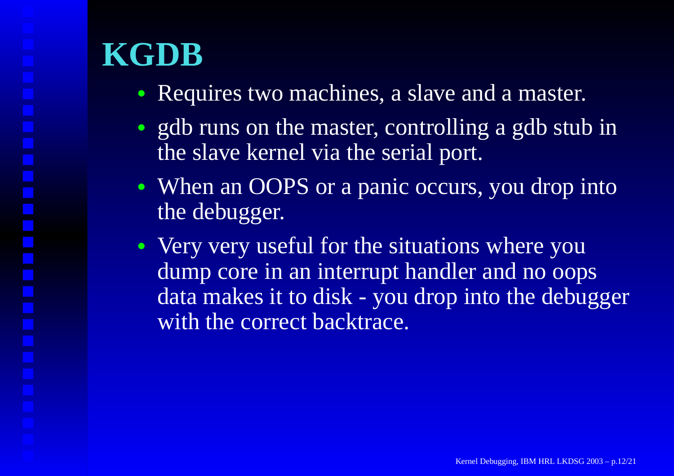#### **KGDB**

- Requires two machines, <sup>a</sup> slave and <sup>a</sup> master.
- gdb runs on the master, controlling a gdb stub in the slave kernel via the serial port.
- When an OOPS or a panic occurs, you drop into the debugger.
- Very very useful for the situations where you dump core in an interrupt handler and no oops data makes it to disk - you drop into the debugger with the correct backtrace.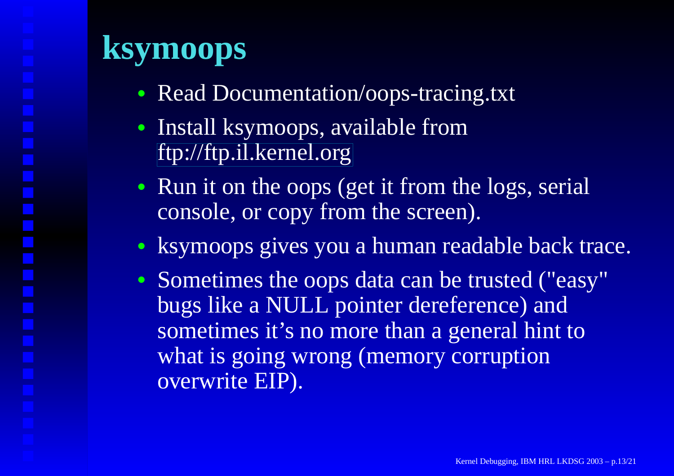#### **ksymoops**

- Read Documentation/oops-tracing.txt
- Install ksymoops, available from <ftp://ftp.il.kernel.org>
- Run it on the oops (get it from the logs, serial console, or copy from the screen).
- ksymoops gives you <sup>a</sup> human readable back trace.
- Sometimes the oops data can be trusted ("easy" bugs like <sup>a</sup> NULL pointer dereference) and sometimes it's no more than <sup>a</sup> general hint to what is going wrong (memory corruption overwrite EIP).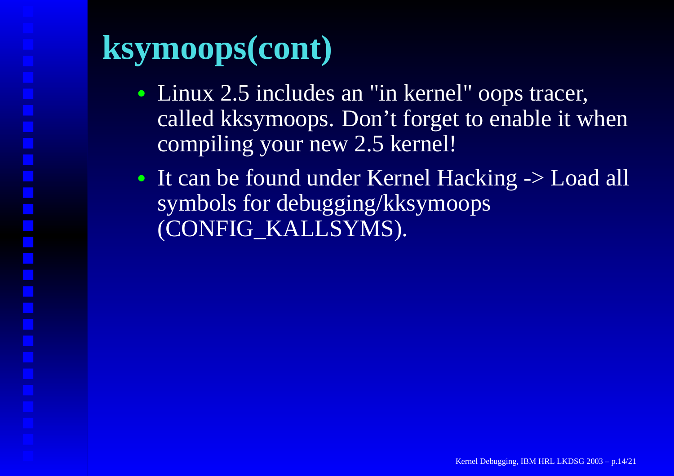#### **ksymoops(cont)**

- Linux 2.5 includes an "in kernel" oops tracer, called kksymoops. Don' t forget to enable it when compiling your ne w 2.5 kernel!
- It can be found under Kernel Hacking -> Load all symbols for debugging/kksymoops (CONFIG\_KALLSYMS).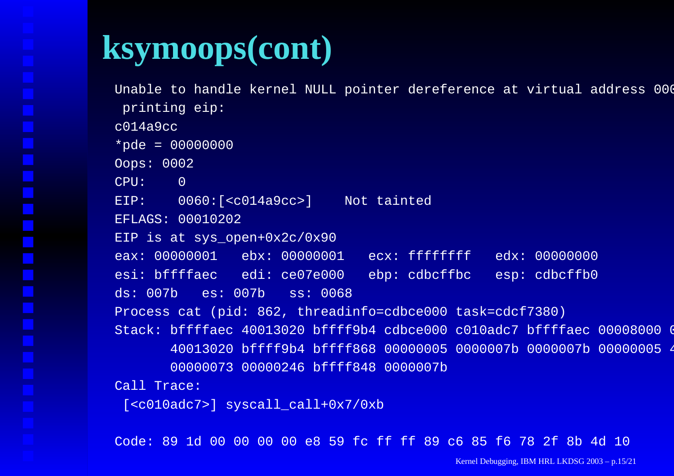#### **ksymoops(cont)**

Unable to handle kernel NULL pointer dereference at virtual address 000 printing eip: c014a9cc\*pde = 00000000 Oops: 0002 CPU:0EIP: 0060:[<c014a9cc>] Not tainted EFLAGS: 00010202 EIP is at sys\_open+0x2c/0x90 eax: 00000001 ebx: 00000001 ecx: ffffffff edx: 00000000 esi: bffffaec edi: ce07e000 ebp: cdbcffbc esp: cdbcffb0 ds: 007b es: 007b ss: 0068 Process cat (pid: 862, threadinfo=cdbce000 task=cdcf7380) Stack: bffffaec 40013020 bffff9b4 cdbce000 c010adc7 bffffaec 00008000 ( 40013020 bffff9b4 bffff868 00000005 0000007b 0000007b 00000005 4 00000073 00000246 bffff848 0000007b Call Trace:  $[\texttt{}]$  syscall  $\texttt{call+0x7/0xb}$ 

Code: 89 1d 00 00 00 00 e8 59 fc ff ff 89 c6 85 f6 78 2f 8b 4d 10

Kernel Debugging, IBM HRL LKDSG 2003 – p.15/21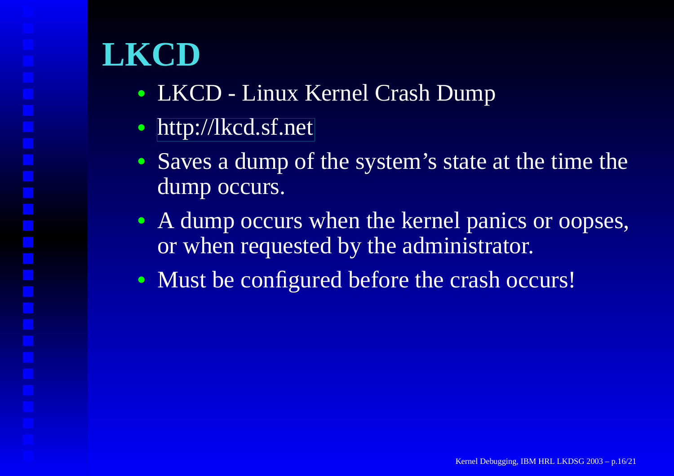- LKCD Linux Kernel Crash Dump
- [http://lkcd.sf.ne](http://lkcd.sf.net)t
- Saves a dump of the system's state at the time the dump occurs.
- A dump occurs when the kernel panics or oopses, or when requested by the administrator.
- Must be configured before the crash occurs!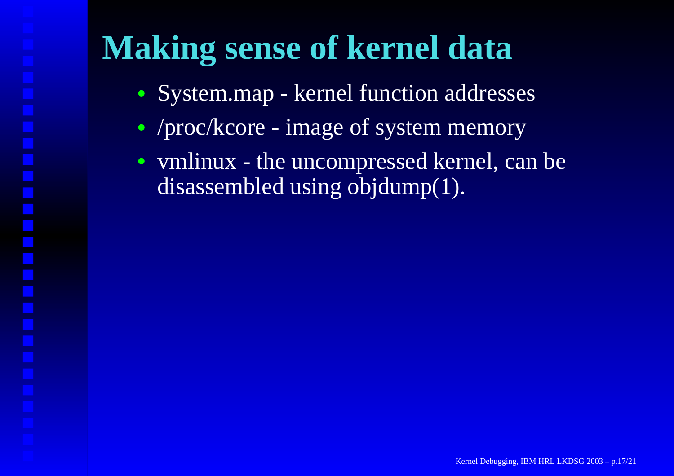#### **Making sense of kernel data**

- System.map kernel function addresses
- /proc/kcore image of system memory
- vmlinux the uncompressed kernel, can be disassembled using objdump(1).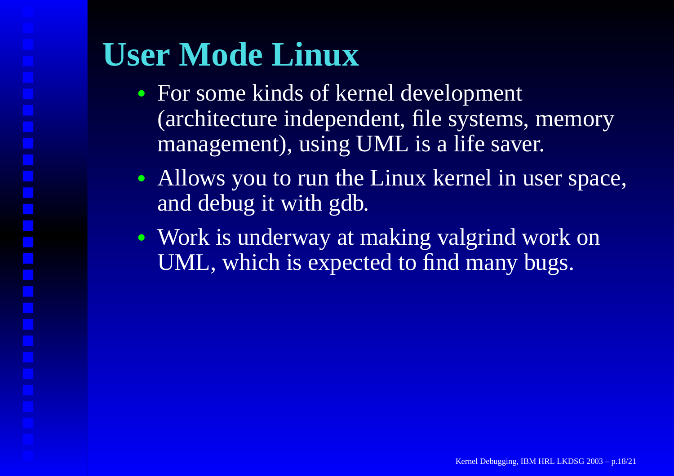### **User Mode Linux**

- For some kinds of kernel development (architecture independent, file systems, memory management), using UML is <sup>a</sup> life saver.
- Allows you to run the Linux kernel in user space, and debug it with gdb.
- Work is underway at making valgrind work on UML, which is expected to find many bugs.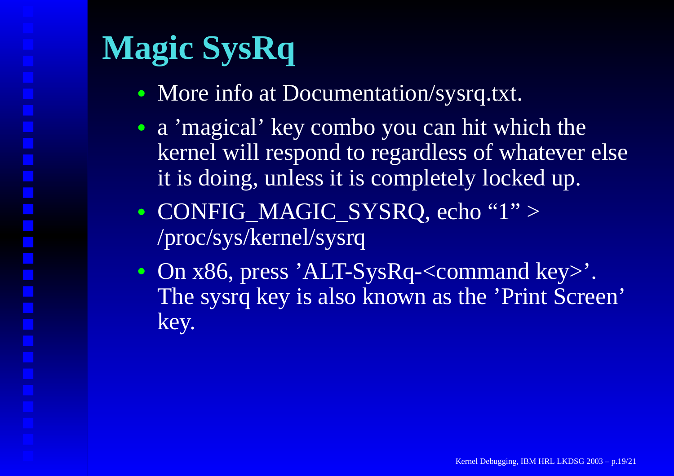# **Magic SysRq**

- More info at Documentation/sysrq.txt.
- a 'magical' key combo you can hit which the kernel will respond to regardless of whatever else it is doing, unless it is completely locked up.
- CONFIG\_MAGIC\_SYSRQ, echo "1" <sup>&</sup>gt; /proc/sys/kernel/sysrq
- On x86, press 'ALT-SysRq-<command key>'. The sysrq key is also known as the 'Print Screen' key.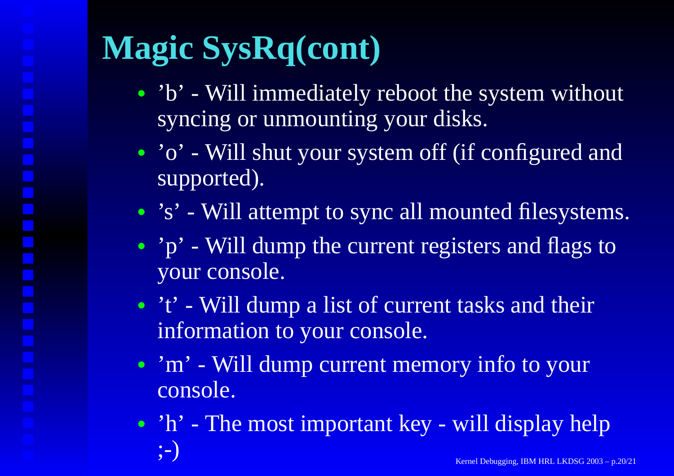# **Magic SysRq(cont)**

- 'b' Will immediately reboot the system without syncing or unmounting your disks.
- 'o' Will shut your system off (if configured and supported).
- 's' Will attempt to sync all mounted filesystems.
- 'p' Will dump the current registers and flags to your console.
- 't' Will dump a list of current tasks and their information to your console.
- 'm' Will dump current memory info to your console.
- 'h' The most important key will display help ;  $-$ ) Kernel Kernel (Kanada Kernel Kernel Kernel Kernel Kernel Kernel Kernel Kernel Kernel Kernel Kernel Kernel Kernel Kernel Kernel Kernel Kernel Kernel Kernel Kernel Kernel Kernel Kernel Kernel Kernel Kernel Kernel Ker Debugging, IBM HRL LKDSG 2003 – p.20/21